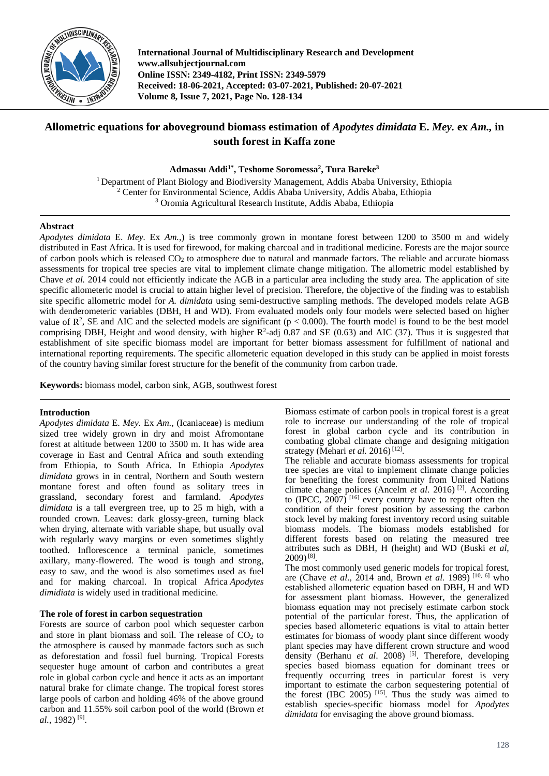

**International Journal of Multidisciplinary Research and Development www.allsubjectjournal.com Online ISSN: 2349-4182, Print ISSN: 2349-5979 Received: 18-06-2021, Accepted: 03-07-2021, Published: 20-07-2021 Volume 8, Issue 7, 2021, Page No. 128-134**

# **Allometric equations for aboveground biomass estimation of** *Apodytes dimidata* **E.** *Mey.* **ex** *Am.,* **in south forest in Kaffa zone**

**Admassu Addi1\* , Teshome Soromessa2 , Tura Bareke3**

1 Department of Plant Biology and Biodiversity Management, Addis Ababa University, Ethiopia <sup>2</sup> Center for Environmental Science, Addis Ababa University, Addis Ababa, Ethiopia <sup>3</sup> Oromia Agricultural Research Institute, Addis Ababa, Ethiopia

# **Abstract**

*Apodytes dimidata* E. *Mey.* Ex *Am.,*) is tree commonly grown in montane forest between 1200 to 3500 m and widely distributed in East Africa. It is used for firewood, for making charcoal and in traditional medicine. Forests are the major source of carbon pools which is released  $CO<sub>2</sub>$  to atmosphere due to natural and manmade factors. The reliable and accurate biomass assessments for tropical tree species are vital to implement climate change mitigation. The allometric model established by Chave *et al.* 2014 could not efficiently indicate the AGB in a particular area including the study area. The application of site specific allometeric model is crucial to attain higher level of precision. Therefore, the objective of the finding was to establish site specific allometric model for *A. dimidata* using semi-destructive sampling methods. The developed models relate AGB with denderometeric variables (DBH, H and WD). From evaluated models only four models were selected based on higher value of  $\mathbb{R}^2$ , SE and AIC and the selected models are significant ( $p < 0.000$ ). The fourth model is found to be the best model comprising DBH, Height and wood density, with higher  $R^2$ -adj 0.87 and SE (0.63) and AIC (37). Thus it is suggested that establishment of site specific biomass model are important for better biomass assessment for fulfillment of national and international reporting requirements. The specific allometeric equation developed in this study can be applied in moist forests of the country having similar forest structure for the benefit of the community from carbon trade.

**Keywords:** biomass model, carbon sink, AGB, southwest forest

# **Introduction**

*Apodytes dimidata* E. *Mey.* Ex *Am.,* (Icaniaceae) is medium sized tree widely grown in dry and moist Afromontane forest at altitude between 1200 to 3500 m. It has wide area coverage in East and Central Africa and south extending from Ethiopia, to South Africa. In Ethiopia *Apodytes dimidata* grows in in central, Northern and South western montane forest and often found as solitary trees in grassland, secondary forest and farmland. *Apodytes dimidata* is a tall evergreen tree, up to 25 m high, with a rounded crown. Leaves: dark glossy-green, turning black when drying, alternate with variable shape, but usually oval with regularly wavy margins or even sometimes slightly toothed. Inflorescence a terminal panicle, sometimes axillary, many-flowered. The wood is tough and strong, easy to saw, and the wood is also sometimes used as fuel and for making charcoal. In tropical Africa *Apodytes dimidiata* is widely used in traditional medicine.

# **The role of forest in carbon sequestration**

Forests are source of carbon pool which sequester carbon and store in plant biomass and soil. The release of  $CO<sub>2</sub>$  to the atmosphere is caused by manmade factors such as such as deforestation and fossil fuel burning. Tropical Forests sequester huge amount of carbon and contributes a great role in global carbon cycle and hence it acts as an important natural brake for climate change. The tropical forest stores large pools of carbon and holding 46% of the above ground carbon and 11.55% soil carbon pool of the world (Brown *et al.,* 1982) [9] .

Biomass estimate of carbon pools in tropical forest is a great role to increase our understanding of the role of tropical forest in global carbon cycle and its contribution in combating global climate change and designing mitigation strategy (Mehari et al. 2016)<sup>[12]</sup>.

The reliable and accurate biomass assessments for tropical tree species are vital to implement climate change policies for benefiting the forest community from United Nations climate change polices (Ancelm *et al.* 2016)<sup>[2]</sup>. According to (IPCC,  $2007$ )<sup>[16]</sup> every country have to report often the condition of their forest position by assessing the carbon stock level by making forest inventory record using suitable biomass models. The biomass models established for different forests based on relating the measured tree attributes such as DBH, H (height) and WD (Buski *et al,* 2009)[8] .

The most commonly used generic models for tropical forest, are (Chave *et al*., 2014 and, Brown *et al.* 1989) [10, 6] who established allometeric equation based on DBH, H and WD for assessment plant biomass. However, the generalized biomass equation may not precisely estimate carbon stock potential of the particular forest. Thus, the application of species based allometeric equations is vital to attain better estimates for biomass of woody plant since different woody plant species may have different crown structure and wood density (Berhanu *et al.* 2008)<sup>[5]</sup>. Therefore, developing species based biomass equation for dominant trees or frequently occurring trees in particular forest is very important to estimate the carbon sequestering potential of the forest (IBC 2005)  $^{[15]}$ . Thus the study was aimed to establish species-specific biomass model for *Apodytes dimidata* for envisaging the above ground biomass.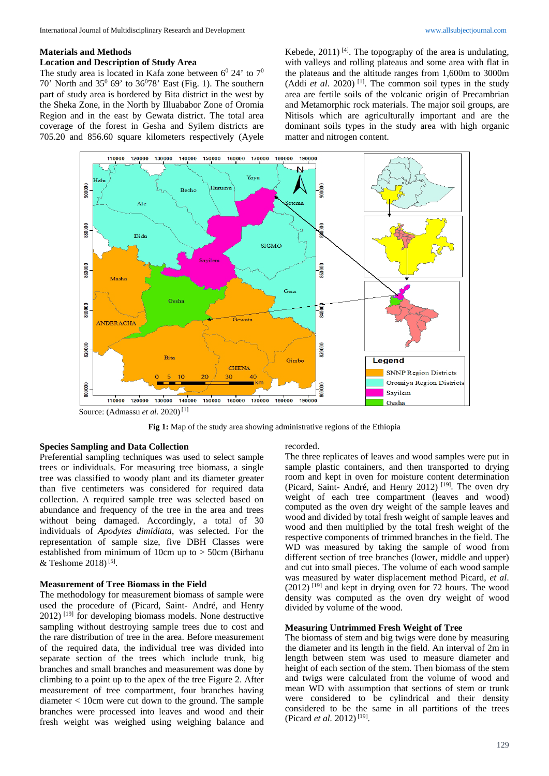#### **Materials and Methods**

### **Location and Description of Study Area**

The study area is located in Kafa zone between  $6^{\circ}$  24' to  $7^{\circ}$ 70' North and  $35^0$  69' to  $36^0$ 78' East (Fig. 1). The southern part of study area is bordered by Bita district in the west by the Sheka Zone, in the North by Illuababor Zone of Oromia Region and in the east by Gewata district. The total area coverage of the forest in Gesha and Syilem districts are 705.20 and 856.60 square kilometers respectively (Ayele

Kebede,  $2011$ )<sup>[4]</sup>. The topography of the area is undulating, with valleys and rolling plateaus and some area with flat in the plateaus and the altitude ranges from 1,600m to 3000m (Addi et al. 2020)<sup>[1]</sup>. The common soil types in the study area are fertile soils of the volcanic origin of Precambrian and Metamorphic rock materials. The major soil groups, are Nitisols which are agriculturally important and are the dominant soils types in the study area with high organic matter and nitrogen content.



**Fig 1:** Map of the study area showing administrative regions of the Ethiopia

#### **Species Sampling and Data Collection**

Preferential sampling techniques was used to select sample trees or individuals. For measuring tree biomass, a single tree was classified to woody plant and its diameter greater than five centimeters was considered for required data collection. A required sample tree was selected based on abundance and frequency of the tree in the area and trees without being damaged. Accordingly, a total of 30 individuals of *Apodytes dimidiata*, was selected. For the representation of sample size, five DBH Classes were established from minimum of 10cm up to > 50cm (Birhanu & Teshome  $2018$ <sup>[5]</sup>.

#### **Measurement of Tree Biomass in the Field**

The methodology for measurement biomass of sample were used the procedure of (Picard, Saint- André, and Henry  $2012$ ) <sup>[19]</sup> for developing biomass models. None destructive sampling without destroying sample trees due to cost and the rare distribution of tree in the area. Before measurement of the required data, the individual tree was divided into separate section of the trees which include trunk, big branches and small branches and measurement was done by climbing to a point up to the apex of the tree Figure 2. After measurement of tree compartment, four branches having diameter < 10cm were cut down to the ground. The sample branches were processed into leaves and wood and their fresh weight was weighed using weighing balance and

#### recorded.

The three replicates of leaves and wood samples were put in sample plastic containers, and then transported to drying room and kept in oven for moisture content determination (Picard, Saint- André, and Henry 2012)<sup>[19]</sup>. The oven dry weight of each tree compartment (leaves and wood) computed as the oven dry weight of the sample leaves and wood and divided by total fresh weight of sample leaves and wood and then multiplied by the total fresh weight of the respective components of trimmed branches in the field. The WD was measured by taking the sample of wood from different section of tree branches (lower, middle and upper) and cut into small pieces. The volume of each wood sample was measured by water displacement method Picard, *et al*.  $(2012)$ <sup>[19]</sup> and kept in drying oven for 72 hours. The wood density was computed as the oven dry weight of wood divided by volume of the wood.

#### **Measuring Untrimmed Fresh Weight of Tree**

The biomass of stem and big twigs were done by measuring the diameter and its length in the field. An interval of 2m in length between stem was used to measure diameter and height of each section of the stem. Then biomass of the stem and twigs were calculated from the volume of wood and mean WD with assumption that sections of stem or trunk were considered to be cylindrical and their density considered to be the same in all partitions of the trees (Picard *et al.* 2012)<sup>[19]</sup>.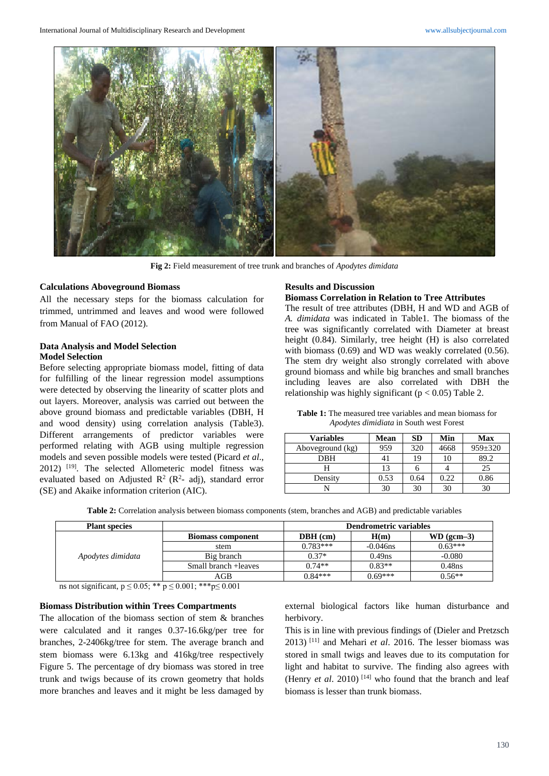

**Fig 2:** Field measurement of tree trunk and branches of *Apodytes dimidata*

### **Calculations Aboveground Biomass**

All the necessary steps for the biomass calculation for trimmed, untrimmed and leaves and wood were followed from Manual of FAO (2012).

# **Data Analysis and Model Selection Model Selection**

Before selecting appropriate biomass model, fitting of data for fulfilling of the linear regression model assumptions were detected by observing the linearity of scatter plots and out layers. Moreover, analysis was carried out between the above ground biomass and predictable variables (DBH, H and wood density) using correlation analysis (Table3). Different arrangements of predictor variables were performed relating with AGB using multiple regression models and seven possible models were tested (Picard *et al*., 2012)<sup>[19]</sup>. The selected Allometeric model fitness was evaluated based on Adjusted  $\mathbb{R}^2$  ( $\mathbb{R}^2$ - adj), standard error (SE) and Akaike information criterion (AIC).

### **Results and Discussion**

#### **Biomass Correlation in Relation to Tree Attributes**

The result of tree attributes (DBH, H and WD and AGB of *A. dimidata* was indicated in Table1. The biomass of the tree was significantly correlated with Diameter at breast height (0.84). Similarly, tree height (H) is also correlated with biomass (0.69) and WD was weakly correlated (0.56). The stem dry weight also strongly correlated with above ground biomass and while big branches and small branches including leaves are also correlated with DBH the relationship was highly significant ( $p < 0.05$ ) Table 2.

**Table 1:** The measured tree variables and mean biomass for *Apodytes dimidiata* in South west Forest

| <b>Variables</b> | Mean | SD   | Min  | <b>Max</b>    |
|------------------|------|------|------|---------------|
| Aboveground (kg) | 959  | 320  | 4668 | $959 \pm 320$ |
| <b>DBH</b>       |      | 19   | 10   | 89.2          |
|                  | 13   |      |      | 25            |
| Density          | 0.53 | 0.64 | 0.22 | 0.86          |
|                  | 30   | 30   | 30   | 30            |

| <b>Table 2:</b> Correlation analysis between biomass components (stem, branches and AGB) and predictable variables |  |  |
|--------------------------------------------------------------------------------------------------------------------|--|--|
|                                                                                                                    |  |  |

| <b>Plant species</b> |                          | <b>Dendrometric variables</b> |             |              |  |
|----------------------|--------------------------|-------------------------------|-------------|--------------|--|
|                      | <b>Biomass component</b> | $DBH$ (cm)                    | H(m)        | $WD (gcm-3)$ |  |
| Apodytes dimidata    | stem                     | $0.783***$                    | $-0.046$ ns | $0.63***$    |  |
|                      | Big branch               | $0.37*$                       | $0.49$ ns   | $-0.080$     |  |
|                      | Small branch + leaves    | $0.74**$                      | $0.83**$    | $0.48$ ns    |  |
|                      | AGB                      | $0.84***$                     | $0.69***$   | $0.56**$     |  |

ns not significant, p ≤ 0.05; \*\* p ≤ 0.001; \*\*\* p ≤ 0.001

# **Biomass Distribution within Trees Compartments**

The allocation of the biomass section of stem & branches were calculated and it ranges 0.37-16.6kg/per tree for branches, 2-2406kg/tree for stem. The average branch and stem biomass were 6.13kg and 416kg/tree respectively Figure 5. The percentage of dry biomass was stored in tree trunk and twigs because of its crown geometry that holds more branches and leaves and it might be less damaged by

external biological factors like human disturbance and herbivory.

This is in line with previous findings of (Dieler and Pretzsch 2013) [11] and Mehari *et al*. 2016. The lesser biomass was stored in small twigs and leaves due to its computation for light and habitat to survive. The finding also agrees with (Henry  $et$  al. 2010)<sup>[14]</sup> who found that the branch and leaf biomass is lesser than trunk biomass.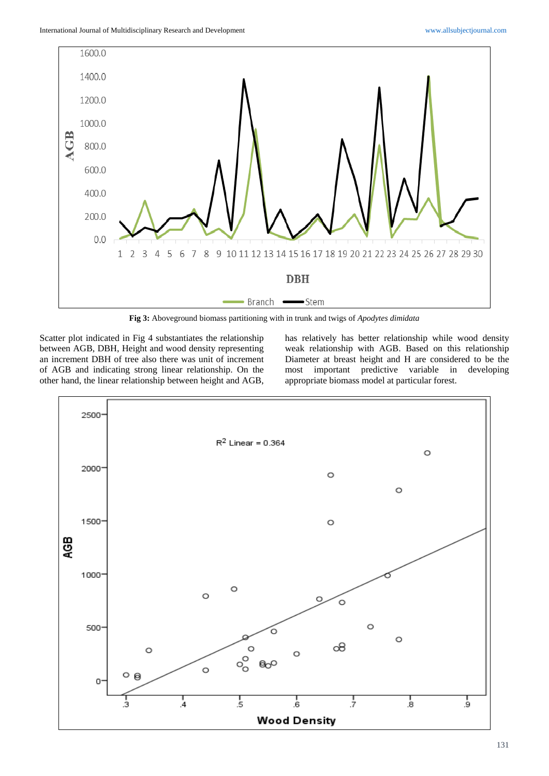

**Fig 3:** Aboveground biomass partitioning with in trunk and twigs of *Apodytes dimidata*

Scatter plot indicated in Fig 4 substantiates the relationship between AGB, DBH, Height and wood density representing an increment DBH of tree also there was unit of increment of AGB and indicating strong linear relationship. On the other hand, the linear relationship between height and AGB, has relatively has better relationship while wood density weak relationship with AGB. Based on this relationship Diameter at breast height and H are considered to be the most important predictive variable in developing appropriate biomass model at particular forest.

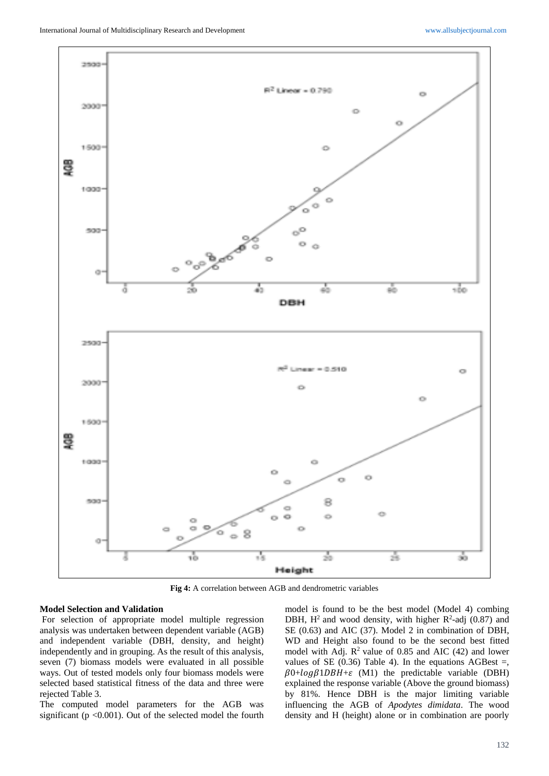

**Fig 4:** A correlation between AGB and dendrometric variables

### **Model Selection and Validation**

For selection of appropriate model multiple regression analysis was undertaken between dependent variable (AGB) and independent variable (DBH, density, and height) independently and in grouping. As the result of this analysis, seven (7) biomass models were evaluated in all possible ways. Out of tested models only four biomass models were selected based statistical fitness of the data and three were rejected Table 3.

The computed model parameters for the AGB was significant ( $p \le 0.001$ ). Out of the selected model the fourth

model is found to be the best model (Model 4) combing DBH,  $H^2$  and wood density, with higher  $R^2$ -adj (0.87) and SE (0.63) and AIC (37). Model 2 in combination of DBH, WD and Height also found to be the second best fitted model with Adj.  $\mathbb{R}^2$  value of 0.85 and AIC (42) and lower values of SE (0.36) Table 4). In the equations AGBest  $=$ ,  $\beta$ 0+log $\beta$ 1DBH+ $\varepsilon$  (M1) the predictable variable (DBH) explained the response variable (Above the ground biomass) by 81%. Hence DBH is the major limiting variable influencing the AGB of *Apodytes dimidata*. The wood density and H (height) alone or in combination are poorly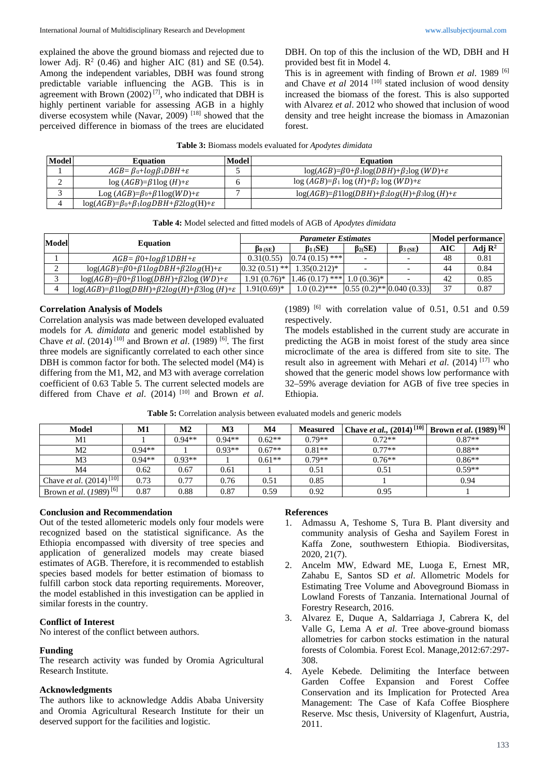explained the above the ground biomass and rejected due to lower Adj.  $R^2$  (0.46) and higher AIC (81) and SE (0.54). Among the independent variables, DBH was found strong predictable variable influencing the AGB. This is in agreement with Brown  $(2002)^{[7]}$ , who indicated that DBH is highly pertinent variable for assessing AGB in a highly diverse ecosystem while (Navar, 2009) [18] showed that the perceived difference in biomass of the trees are elucidated DBH. On top of this the inclusion of the WD, DBH and H provided best fit in Model 4.

This is in agreement with finding of Brown *et al*. 1989 [6] and Chave *et al* 2014<sup>[10]</sup> stated inclusion of wood density increased the biomass of the forest. This is also supported with Alvarez *et al*. 2012 who showed that inclusion of wood density and tree height increase the biomass in Amazonian forest.

| Model | <b>Equation</b>                                            | Model | <b>Equation</b>                                                                   |
|-------|------------------------------------------------------------|-------|-----------------------------------------------------------------------------------|
|       | $AGB = \beta_0 + \log \beta_1 DBH + \varepsilon$           |       | $log(AGB)=\beta 0+\beta 1log(DBH)+\beta 2log (WD)+\varepsilon$                    |
| ∼     | $\log (AGB) = \beta \log (H) + \varepsilon$                |       | $\log (AGB) = \beta_1 \log (H) + \beta_2 \log (WD) + \varepsilon$                 |
|       | Log $(AGB)=\beta_0+\beta 1\log(WD)+\varepsilon$            |       | $\log(AGB) = \beta 1 \log(DBH) + \beta 2 \log(H) + \beta 3 \log(H) + \varepsilon$ |
|       | $log(AGB)=\beta_0+\beta_1logDBH+\beta_2log(H)+\varepsilon$ |       |                                                                                   |

| Model |                                                                             | <b>Parameter Estimates</b> |                   |                                 |                 | Model performance |                    |
|-------|-----------------------------------------------------------------------------|----------------------------|-------------------|---------------------------------|-----------------|-------------------|--------------------|
|       | <b>Equation</b>                                                             | $\beta_{0(SE})$            | $\beta_1$ (SE)    | $\beta_{2}(SE)$                 | $\beta_{3(SE)}$ | <b>AIC</b>        | Adj $\mathbb{R}^2$ |
|       | $AGB = \beta 0 + log \beta 1DBH + \varepsilon$                              | 0.31(0.55)                 | $0.74(0.15)$ ***  |                                 |                 | 48                | 0.81               |
|       | $log(AGB)=\beta0+\beta1logDBH+\beta2log(H)+\varepsilon$                     | $0.32(0.51)$ **            | $1.35(0.212)^{*}$ |                                 |                 | 44                | 0.84               |
|       | $log(AGB)=\beta0+\beta1log(DBH)+\beta2log(WD)+\epsilon$                     | $1.91(0.76)*$              | $1.46(0.17)$ ***  | $1.0(0.36)*$                    |                 | 42                | 0.85               |
|       | $\log(AGB) = \beta \log(DBH) + \beta 2log(H) + \beta 3log(H) + \varepsilon$ | $1.91(0.69)*$              | $1.0(0.2)$ ***    | $[0.55(0.2)$ ** $[0.040(0.33)]$ |                 | 37                | 0.87               |

| Table 4: Model selected and fitted models of AGB of Apodytes dimidata |  |
|-----------------------------------------------------------------------|--|
|-----------------------------------------------------------------------|--|

### **Correlation Analysis of Models**

Correlation analysis was made between developed evaluated models for *A. dimidata* and generic model established by Chave *et al*. (2014) [10] and Brown *et al*. (1989) [6] . The first three models are significantly correlated to each other since DBH is common factor for both. The selected model (M4) is differing from the M1, M2, and M3 with average correlation coefficient of 0.63 Table 5. The current selected models are differed from Chave *et al*. (2014) [10] and Brown *et al*.

 $(1989)$  <sup>[6]</sup> with correlation value of 0.51, 0.51 and 0.59 respectively.

The models established in the current study are accurate in predicting the AGB in moist forest of the study area since microclimate of the area is differed from site to site. The result also in agreement with Mehari *et al*. (2014) [17] who showed that the generic model shows low performance with 32–59% average deviation for AGB of five tree species in Ethiopia.

|  | <b>Table 5:</b> Correlation analysis between evaluated models and generic models |  |
|--|----------------------------------------------------------------------------------|--|
|  |                                                                                  |  |

| <b>Model</b>                               | M1       | M2       | M3       | M <sub>4</sub> | <b>Measured</b> | Chave et al., $(2014)^{[10]}$ Brown et al. $(1989)^{[6]}$ |          |
|--------------------------------------------|----------|----------|----------|----------------|-----------------|-----------------------------------------------------------|----------|
| M1                                         |          | $0.94**$ | $0.94**$ | $0.62**$       | $0.79**$        | $0.72**$                                                  | $0.87**$ |
| M <sub>2</sub>                             | $0.94**$ |          | $0.93**$ | $0.67**$       | $0.81**$        | $0.77**$                                                  | $0.88**$ |
| M3                                         | $0.94**$ | $0.93**$ |          | $0.61**$       | $0.79**$        | $0.76**$                                                  | $0.86**$ |
| M4                                         | 0.62     | 0.67     | 0.61     |                | 0.51            | 0.51                                                      | $0.59**$ |
| Chave <i>et al.</i> (2014) <sup>[10]</sup> | 0.73     | 0.77     | 0.76     | 0.51           | 0.85            |                                                           | 0.94     |
| Brown <i>et al.</i> (1989) <sup>[6]</sup>  | 0.87     | 0.88     | 0.87     | 0.59           | 0.92            | 0.95                                                      |          |

### **Conclusion and Recommendation**

Out of the tested allometeric models only four models were recognized based on the statistical significance. As the Ethiopia encompassed with diversity of tree species and application of generalized models may create biased estimates of AGB. Therefore, it is recommended to establish species based models for better estimation of biomass to fulfill carbon stock data reporting requirements. Moreover, the model established in this investigation can be applied in similar forests in the country.

# **Conflict of Interest**

No interest of the conflict between authors.

### **Funding**

The research activity was funded by Oromia Agricultural Research Institute.

### **Acknowledgments**

The authors like to acknowledge Addis Ababa University and Oromia Agricultural Research Institute for their un deserved support for the facilities and logistic.

### **References**

- 1. Admassu A, Teshome S, Tura B. Plant diversity and community analysis of Gesha and Sayilem Forest in Kaffa Zone, southwestern Ethiopia. Biodiversitas, 2020, 21(7).
- 2. Ancelm MW, Edward ME, Luoga E, Ernest MR, Zahabu E, Santos SD *et al*. Allometric Models for Estimating Tree Volume and Aboveground Biomass in Lowland Forests of Tanzania. International Journal of Forestry Research, 2016.
- 3. Alvarez E, Duque A, Saldarriaga J, Cabrera K, del Valle G, Lema A *et al*. Tree above-ground biomass allometries for carbon stocks estimation in the natural forests of Colombia. Forest Ecol. Manage,2012:67:297- 308.
- 4. Ayele Kebede. Delimiting the Interface between Garden Coffee Expansion and Forest Coffee Conservation and its Implication for Protected Area Management: The Case of Kafa Coffee Biosphere Reserve. Msc thesis, University of Klagenfurt, Austria, 2011.